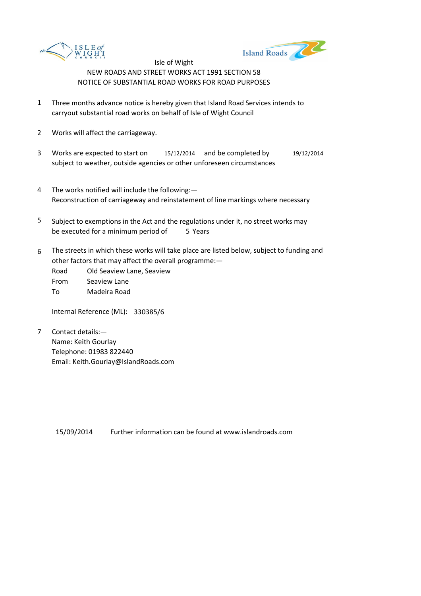



Isle of Wight NEW ROADS AND STREET WORKS ACT 1991 SECTION 58 NOTICE OF SUBSTANTIAL ROAD WORKS FOR ROAD PURPOSES

- 1 Three months advance notice is hereby given that Island Road Services intends to carryout substantial road works on behalf of Isle of Wight Council
- 2 Works will affect the carriageway.
- 3 Works are expected to start on 15/12/2014 and be completed by 19/12/2014 subject to weather, outside agencies or other unforeseen circumstances
- 4 The works notified will include the following:— Reconstruction of carriageway and reinstatement of line markings where necessary
- 5 be executed for a minimum period of 5 Years Subject to exemptions in the Act and the regulations under it, no street works may
- 6 The streets in which these works will take place are listed below, subject to funding and other factors that may affect the overall programme:—
	- Road Old Seaview Lane, Seaview
	- From Seaview Lane
	- To Madeira Road

Internal Reference (ML): 330385/6

7 Contact details:— Name: Keith Gourlay Telephone: 01983 822440 Email: Keith.Gourlay@IslandRoads.com

> Further information can be found at www.islandroads.com 15/09/2014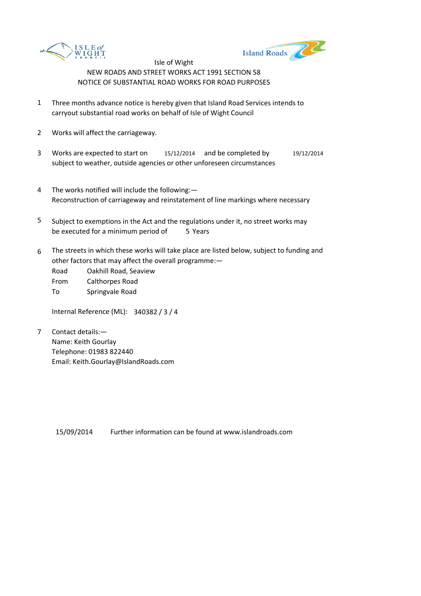



Isle of Wight NEW ROADS AND STREET WORKS ACT 1991 SECTION 58 NOTICE OF SUBSTANTIAL ROAD WORKS FOR ROAD PURPOSES

- 1 Three months advance notice is hereby given that Island Road Services intends to carryout substantial road works on behalf of Isle of Wight Council
- 2 Works will affect the carriageway.
- 3 Works are expected to start on 15/12/2014 and be completed by 19/12/2014 subject to weather, outside agencies or other unforeseen circumstances
- 4 The works notified will include the following:— Reconstruction of carriageway and reinstatement of line markings where necessary
- 5 be executed for a minimum period of 5 Years Subject to exemptions in the Act and the regulations under it, no street works may
- 6 The streets in which these works will take place are listed below, subject to funding and other factors that may affect the overall programme:—
	- Road Oakhill Road, Seaview
	- From Calthorpes Road
	- To Springvale Road

Internal Reference (ML): 340382 / 3 / 4

7 Contact details:— Name: Keith Gourlay Telephone: 01983 822440 Email: Keith.Gourlay@IslandRoads.com

> Further information can be found at www.islandroads.com 15/09/2014